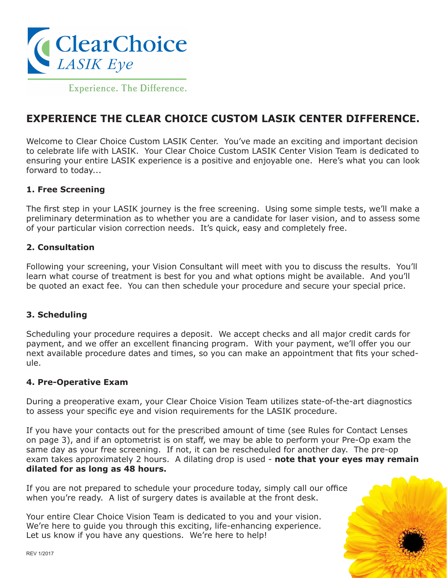

Experience. The Difference.

# **EXPERIENCE THE CLEAR CHOICE CUSTOM LASIK CENTER DIFFERENCE.**

Welcome to Clear Choice Custom LASIK Center. You've made an exciting and important decision to celebrate life with LASIK. Your Clear Choice Custom LASIK Center Vision Team is dedicated to ensuring your entire LASIK experience is a positive and enjoyable one. Here's what you can look forward to today...

#### **1. Free Screening**

The first step in your LASIK journey is the free screening. Using some simple tests, we'll make a preliminary determination as to whether you are a candidate for laser vision, and to assess some of your particular vision correction needs. It's quick, easy and completely free.

#### **2. Consultation**

Following your screening, your Vision Consultant will meet with you to discuss the results. You'll learn what course of treatment is best for you and what options might be available. And you'll be quoted an exact fee. You can then schedule your procedure and secure your special price.

### **3. Scheduling**

Scheduling your procedure requires a deposit. We accept checks and all major credit cards for payment, and we offer an excellent financing program. With your payment, we'll offer you our next available procedure dates and times, so you can make an appointment that fits your schedule.

#### **4. Pre-Operative Exam**

During a preoperative exam, your Clear Choice Vision Team utilizes state-of-the-art diagnostics to assess your specific eye and vision requirements for the LASIK procedure.

If you have your contacts out for the prescribed amount of time (see Rules for Contact Lenses on page 3), and if an optometrist is on staff, we may be able to perform your Pre-Op exam the same day as your free screening. If not, it can be rescheduled for another day. The pre-op exam takes approximately 2 hours. A dilating drop is used - **note that your eyes may remain dilated for as long as 48 hours.**

If you are not prepared to schedule your procedure today, simply call our office when you're ready. A list of surgery dates is available at the front desk.

Your entire Clear Choice Vision Team is dedicated to you and your vision. We're here to guide you through this exciting, life-enhancing experience. Let us know if you have any questions. We're here to help!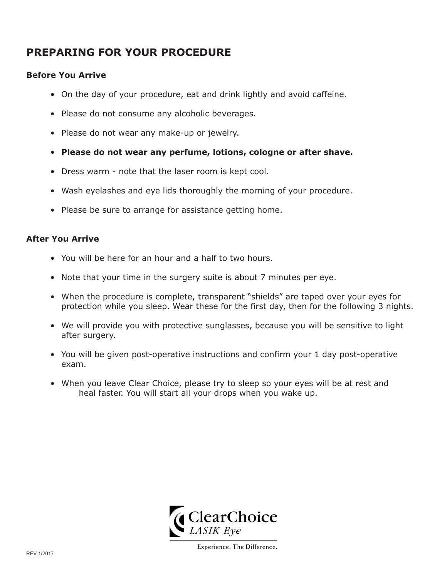# **PREPARING FOR YOUR PROCEDURE**

### **Before You Arrive**

- On the day of your procedure, eat and drink lightly and avoid caffeine.
- Please do not consume any alcoholic beverages.
- Please do not wear any make-up or jewelry.
- **Please do not wear any perfume, lotions, cologne or after shave.**
- Dress warm note that the laser room is kept cool.
- Wash eyelashes and eye lids thoroughly the morning of your procedure.
- Please be sure to arrange for assistance getting home.

### **After You Arrive**

- You will be here for an hour and a half to two hours.
- Note that your time in the surgery suite is about 7 minutes per eye.
- When the procedure is complete, transparent "shields" are taped over your eyes for protection while you sleep. Wear these for the first day, then for the following 3 nights.
- We will provide you with protective sunglasses, because you will be sensitive to light after surgery.
- You will be given post-operative instructions and confirm your 1 day post-operative exam.
- When you leave Clear Choice, please try to sleep so your eyes will be at rest and heal faster. You will start all your drops when you wake up.

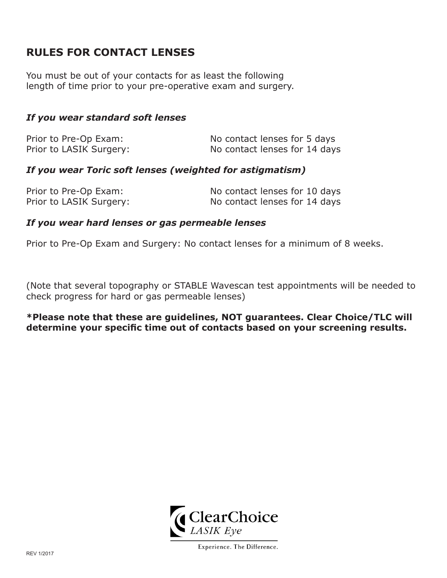# **RULES FOR CONTACT LENSES**

You must be out of your contacts for as least the following length of time prior to your pre-operative exam and surgery.

# *If you wear standard soft lenses*

| Prior to Pre-Op Exam:   | No contact lenses for 5 days  |
|-------------------------|-------------------------------|
| Prior to LASIK Surgery: | No contact lenses for 14 days |

## *If you wear Toric soft lenses (weighted for astigmatism)*

| Prior to Pre-Op Exam:   | No contact lenses for 10 days |
|-------------------------|-------------------------------|
| Prior to LASIK Surgery: | No contact lenses for 14 days |

### *If you wear hard lenses or gas permeable lenses*

Prior to Pre-Op Exam and Surgery: No contact lenses for a minimum of 8 weeks.

(Note that several topography or STABLE Wavescan test appointments will be needed to check progress for hard or gas permeable lenses)

**\*Please note that these are guidelines, NOT guarantees. Clear Choice/TLC will determine your specific time out of contacts based on your screening results.**

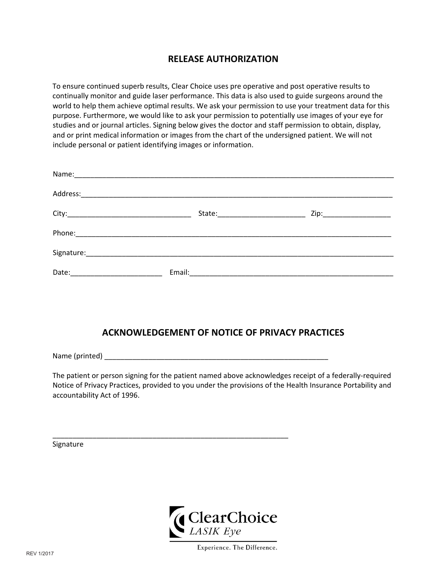# **RELEASE AUTHORIZATION**

To ensure continued superb results, Clear Choice uses pre operative and post operative results to continually monitor and guide laser performance. This data is also used to guide surgeons around the world to help them achieve optimal results. We ask your permission to use your treatment data for this purpose. Furthermore, we would like to ask your permission to potentially use images of your eye for studies and or journal articles. Signing below gives the doctor and staff permission to obtain, display, and or print medical information or images from the chart of the undersigned patient. We will not include personal or patient identifying images or information.

| Address:<br><u> 1989 - Johann John Stone, markin film yn y brening yn y brening yn y brening yn y brening yn y brening yn y b</u> |        |  |
|-----------------------------------------------------------------------------------------------------------------------------------|--------|--|
|                                                                                                                                   |        |  |
|                                                                                                                                   |        |  |
|                                                                                                                                   |        |  |
| Date:                                                                                                                             | Email: |  |

# **ACKNOWLEDGEMENT OF NOTICE OF PRIVACY PRACTICES**

Name (printed) \_\_\_\_\_\_\_\_\_\_\_\_\_\_\_\_\_\_\_\_\_\_\_\_\_\_\_\_\_\_\_\_\_\_\_\_\_\_\_\_\_\_\_\_\_\_\_\_\_\_\_\_\_\_\_\_

 $\_$  , and the set of the set of the set of the set of the set of the set of the set of the set of the set of the set of the set of the set of the set of the set of the set of the set of the set of the set of the set of th

The patient or person signing for the patient named above acknowledges receipt of a federally‐required Notice of Privacy Practices, provided to you under the provisions of the Health Insurance Portability and accountability Act of 1996.

Signature

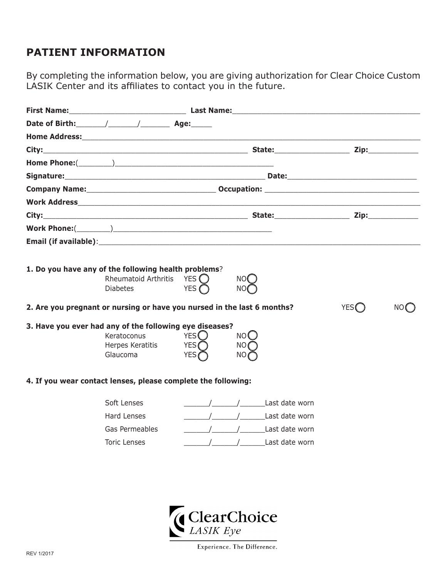# **PATIENT INFORMATION**

By completing the information below, you are giving authorization for Clear Choice Custom LASIK Center and its affiliates to contact you in the future.

| 1. Do you have any of the following health problems?<br>Rheumatoid Arthritis YES $\bigcirc$<br><b>Diabetes</b> | YES $\bigcap$                          | NO(                |                                                                                                                                                                          |       |    |
|----------------------------------------------------------------------------------------------------------------|----------------------------------------|--------------------|--------------------------------------------------------------------------------------------------------------------------------------------------------------------------|-------|----|
| 2. Are you pregnant or nursing or have you nursed in the last 6 months?                                        |                                        |                    |                                                                                                                                                                          | YES() | NO |
| 3. Have you ever had any of the following eye diseases?<br>Keratoconus<br>Herpes Keratitis<br>Glaucoma         | YES $\bigcirc$<br>YES $\bigcap$<br>YES | NOO<br>NO(<br>NO 6 |                                                                                                                                                                          |       |    |
| 4. If you wear contact lenses, please complete the following:                                                  |                                        |                    |                                                                                                                                                                          |       |    |
| Soft Lenses<br>Hard Lenses<br>Gas Permeables<br><b>Toric Lenses</b>                                            | (ClearChoice                           |                    | ast date worn<br>/ / Last date worn<br>ast date worn and the set of the set of the set of the set of the set of the set of the set of the set of the s<br>Last date worn |       |    |

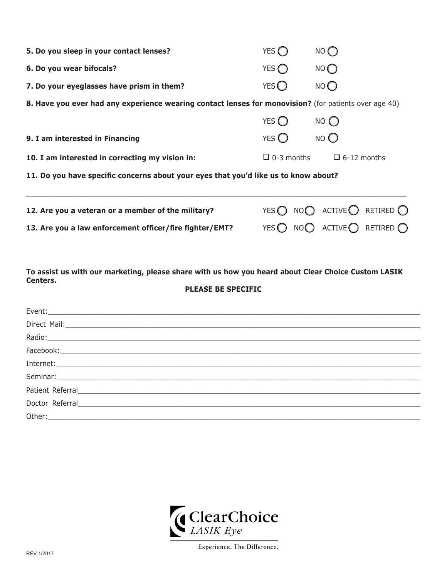| 5. Do you sleep in your contact lenses?                                                               | YES $\subset$     | NO <sub>C</sub>                                               |
|-------------------------------------------------------------------------------------------------------|-------------------|---------------------------------------------------------------|
| 6. Do you wear bifocals?                                                                              | YES $\bigcap$     | NO                                                            |
| 7. Do your eyeglasses have prism in them?                                                             | YES $\bigcap$     | NO <sub>O</sub>                                               |
| 8. Have you ever had any experience wearing contact lenses for monovision? (for patients over age 40) |                   |                                                               |
|                                                                                                       | YES $\bigcap$     | $NO$ $O$                                                      |
| 9. I am interested in Financing                                                                       | YES $\bigcirc$    | NO <sub>O</sub>                                               |
| 10. I am interested in correcting my vision in:                                                       | $\Box$ 0-3 months | $\Box$ 6-12 months                                            |
| 11. Do you have specific concerns about your eyes that you'd like us to know about?                   |                   |                                                               |
| 12. Are you a veteran or a member of the military?                                                    |                   | YES $\bigcap$ NO $\bigcap$ ACTIVE $\bigcap$ RETIRED $\bigcap$ |
| 13. Are you a law enforcement officer/fire fighter/EMT?                                               | YES $\bigcap$     | NOO ACTIVE RETIRED $\bigcap$                                  |

**To assist us with our marketing, please share with us how you heard about Clear Choice Custom LASIK Centers.**

#### **PLEASE BE SPECIFIC**